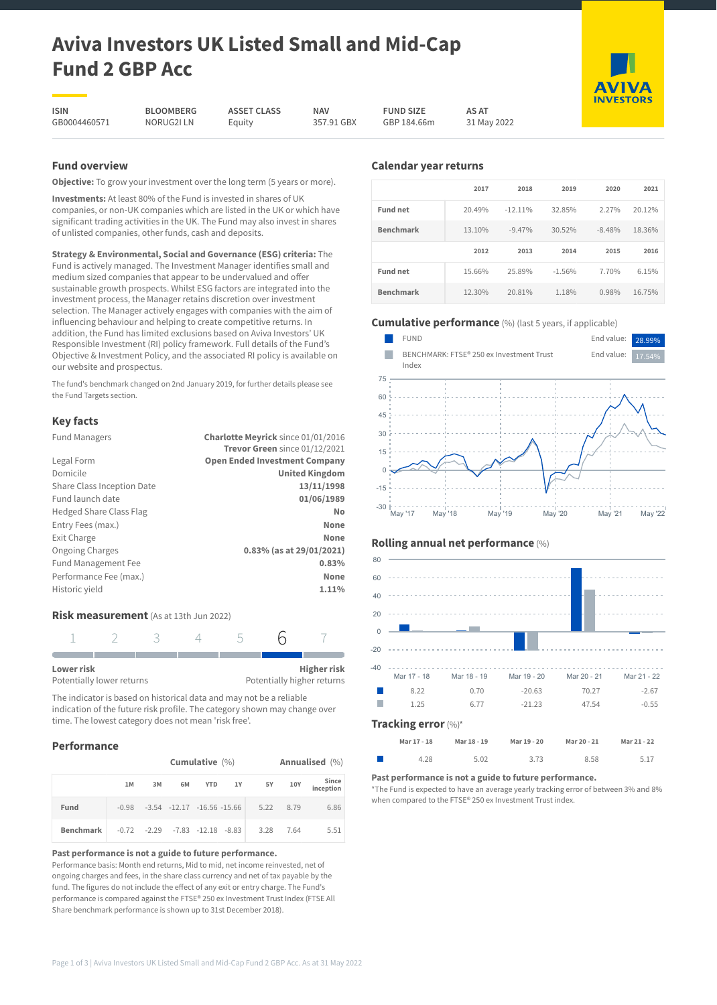# **Aviva Investors UK Listed Small and Mid-Cap Fund 2 GBP Acc**

**ISIN** GB0004460571

**BLOOMBERG** NORUG2I LN **ASSET CLASS** Equity

**NAV** 357.91 GBX **FUND SIZE** GBP 184.66m

31 May 2022

**AS AT**

# **Fund overview**

**Objective:** To grow your investment over the long term (5 years or more).

**Investments:** At least 80% of the Fund is invested in shares of UK companies, or non-UK companies which are listed in the UK or which have significant trading activities in the UK. The Fund may also invest in shares of unlisted companies, other funds, cash and deposits.

**Strategy & Environmental, Social and Governance (ESG) criteria:** The Fund is actively managed. The Investment Manager identifies small and medium sized companies that appear to be undervalued and offer sustainable growth prospects. Whilst ESG factors are integrated into the investment process, the Manager retains discretion over investment selection. The Manager actively engages with companies with the aim of influencing behaviour and helping to create competitive returns. In addition, the Fund has limited exclusions based on Aviva Investors' UK Responsible Investment (RI) policy framework. Full details of the Fund's Objective & Investment Policy, and the associated RI policy is available on our website and prospectus.

The fund's benchmark changed on 2nd January 2019, for further details please see the Fund Targets section.

# **Key facts**

| <b>Fund Managers</b>           | Charlotte Meyrick since 01/01/2016   |
|--------------------------------|--------------------------------------|
|                                | Trevor Green since 01/12/2021        |
| Legal Form                     | <b>Open Ended Investment Company</b> |
| Domicile                       | <b>United Kingdom</b>                |
| Share Class Inception Date     | 13/11/1998                           |
| Fund launch date               | 01/06/1989                           |
| <b>Hedged Share Class Flag</b> | No                                   |
| Entry Fees (max.)              | None                                 |
| Exit Charge                    | None                                 |
| <b>Ongoing Charges</b>         | 0.83% (as at 29/01/2021)             |
| Fund Management Fee            | 0.83%                                |
| Performance Fee (max.)         | None                                 |
| Historic yield                 | 1.11%                                |
|                                |                                      |

# **Risk measurement** (As at 13th Jun 2022)



The indicator is based on historical data and may not be a reliable indication of the future risk profile. The category shown may change over time. The lowest category does not mean 'risk free'.

# **Performance**

|           | Cumulative $(\% )$             |    |                                            |  |  |           | Annualised (%) |                    |
|-----------|--------------------------------|----|--------------------------------------------|--|--|-----------|----------------|--------------------|
|           | 1M                             | 3M | 6M                                         |  |  | YTD 1Y 5Y | 10Y            | Since<br>inception |
| Fund      |                                |    | $-0.98$ $-3.54$ $-12.17$ $-16.56$ $-15.66$ |  |  |           | 5.22 8.79      | 6.86               |
| Benchmark | -0.72 -2.29 -7.83 -12.18 -8.83 |    |                                            |  |  | 3.28      | 7.64           | 5.51               |

#### **Past performance is not a guide to future performance.**

Performance basis: Month end returns, Mid to mid, net income reinvested, net of ongoing charges and fees, in the share class currency and net of tax payable by the fund. The figures do not include the effect of any exit or entry charge. The Fund's performance is compared against the FTSE® 250 ex Investment Trust Index (FTSE All Share benchmark performance is shown up to 31st December 2018).

# **Calendar year returns**

|                  | 2017   | 2018       | 2019     | 2020     | 2021   |
|------------------|--------|------------|----------|----------|--------|
| <b>Fund net</b>  | 20.49% | $-12.11\%$ | 32.85%   | 2.27%    | 20.12% |
| <b>Benchmark</b> | 13.10% | $-9.47%$   | 30.52%   | $-8.48%$ | 18.36% |
|                  |        |            |          |          |        |
|                  | 2012   | 2013       | 2014     | 2015     | 2016   |
| <b>Fund net</b>  | 15.66% | 25.89%     | $-1.56%$ | 7.70%    | 6.15%  |

# **Cumulative performance** (%) (last 5 years, if applicable)



# **Rolling annual net performance** (%)



| Mar 17 - 18 | Mar 18 - 19 | Mar 19 - 20 | Mar 20 - 21 | Mar 21 - 22 |
|-------------|-------------|-------------|-------------|-------------|
| 4.28        | 5.02        | 3.73        | 8.58        | 5.17        |

#### **Past performance is not a guide to future performance.**

\*The Fund is expected to have an average yearly tracking error of between 3% and 8% when compared to the FTSE® 250 ex Investment Trust index.



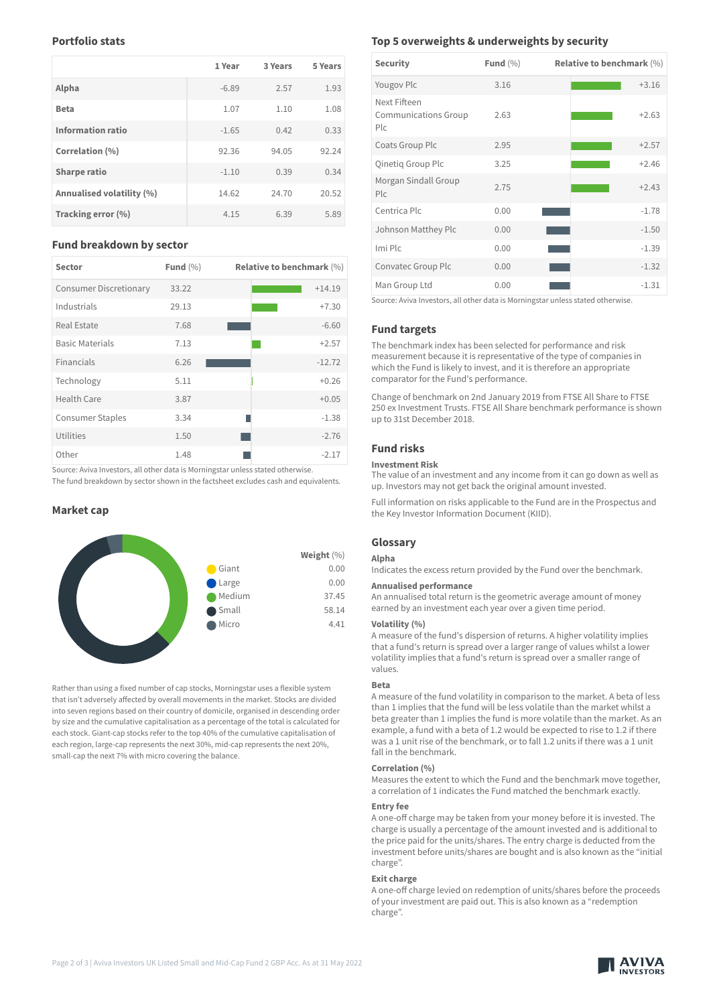# **Portfolio stats**

|                           | 1 Year  | 3 Years | 5 Years |
|---------------------------|---------|---------|---------|
| Alpha                     | $-6.89$ | 2.57    | 1.93    |
| <b>Beta</b>               | 1.07    | 1.10    | 1.08    |
| <b>Information ratio</b>  | $-1.65$ | 0.42    | 0.33    |
| Correlation (%)           | 92.36   | 94.05   | 92.24   |
| <b>Sharpe ratio</b>       | $-1.10$ | 0.39    | 0.34    |
| Annualised volatility (%) | 14.62   | 24.70   | 20.52   |
| Tracking error (%)        | 4.15    | 6.39    | 5.89    |

## **Fund breakdown by sector**

| <b>Sector</b>                 | Fund $(\% )$ | <b>Relative to benchmark (%)</b> |
|-------------------------------|--------------|----------------------------------|
| <b>Consumer Discretionary</b> | 33.22        | $+14.19$                         |
| Industrials                   | 29.13        | $+7.30$                          |
| <b>Real Estate</b>            | 7.68         | $-6.60$                          |
| <b>Basic Materials</b>        | 7.13         | $+2.57$                          |
| Financials                    | 6.26         | $-12.72$                         |
| Technology                    | 5.11         | $+0.26$                          |
| Health Care                   | 3.87         | $+0.05$                          |
| <b>Consumer Staples</b>       | 3.34         | $-1.38$                          |
| Utilities                     | 1.50         | $-2.76$                          |
| Other                         | 1.48         | $-2.17$                          |

Source: Aviva Investors, all other data is Morningstar unless stated otherwise.

The fund breakdown by sector shown in the factsheet excludes cash and equivalents.

# **Market cap**



Rather than using a fixed number of cap stocks, Morningstar uses a flexible system that isn't adversely affected by overall movements in the market. Stocks are divided into seven regions based on their country of domicile, organised in descending order by size and the cumulative capitalisation as a percentage of the total is calculated for each stock. Giant-cap stocks refer to the top 40% of the cumulative capitalisation of each region, large-cap represents the next 30%, mid-cap represents the next 20%, small-cap the next 7% with micro covering the balance.

# **Top 5 overweights & underweights by security**

| <b>Security</b>                                               | Fund $(\% )$ | <b>Relative to benchmark (%)</b> |
|---------------------------------------------------------------|--------------|----------------------------------|
| Yougov Plc                                                    | 3.16         | $+3.16$                          |
| Next Fifteen<br><b>Communications Group</b><br>P <sub>c</sub> | 2.63         | $+2.63$                          |
| Coats Group Plc                                               | 2.95         | $+2.57$                          |
| Qinetig Group Plc                                             | 3.25         | $+2.46$                          |
| Morgan Sindall Group<br>Pic                                   | 2.75         | $+2.43$                          |
| Centrica Plc                                                  | 0.00         | $-1.78$                          |
| Johnson Matthey Plc                                           | 0.00         | $-1.50$                          |
| Imi Plc                                                       | 0.00         | $-1.39$                          |
| Convatec Group Plc                                            | 0.00         | $-1.32$                          |
| Man Group Ltd                                                 | 0.00         | $-1.31$                          |

Source: Aviva Investors, all other data is Morningstar unless stated otherwise.

# **Fund targets**

The benchmark index has been selected for performance and risk measurement because it is representative of the type of companies in which the Fund is likely to invest, and it is therefore an appropriate comparator for the Fund's performance.

Change of benchmark on 2nd January 2019 from FTSE All Share to FTSE 250 ex Investment Trusts. FTSE All Share benchmark performance is shown up to 31st December 2018.

# **Fund risks**

## **Investment Risk**

The value of an investment and any income from it can go down as well as up. Investors may not get back the original amount invested.

Full information on risks applicable to the Fund are in the Prospectus and the Key Investor Information Document (KIID).

## **Glossary**

#### **Alpha**

Indicates the excess return provided by the Fund over the benchmark.

#### **Annualised performance**

An annualised total return is the geometric average amount of money earned by an investment each year over a given time period.

# **Volatility (%)**

A measure of the fund's dispersion of returns. A higher volatility implies that a fund's return is spread over a larger range of values whilst a lower volatility implies that a fund's return is spread over a smaller range of values.

#### **Beta**

A measure of the fund volatility in comparison to the market. A beta of less than 1 implies that the fund will be less volatile than the market whilst a beta greater than 1 implies the fund is more volatile than the market. As an example, a fund with a beta of 1.2 would be expected to rise to 1.2 if there was a 1 unit rise of the benchmark, or to fall 1.2 units if there was a 1 unit fall in the benchmark.

## **Correlation (%)**

Measures the extent to which the Fund and the benchmark move together, a correlation of 1 indicates the Fund matched the benchmark exactly.

## **Entry fee**

A one-off charge may be taken from your money before it is invested. The charge is usually a percentage of the amount invested and is additional to the price paid for the units/shares. The entry charge is deducted from the investment before units/shares are bought and is also known as the "initial charge".

# **Exit charge**

A one-off charge levied on redemption of units/shares before the proceeds of your investment are paid out. This is also known as a "redemption charge".